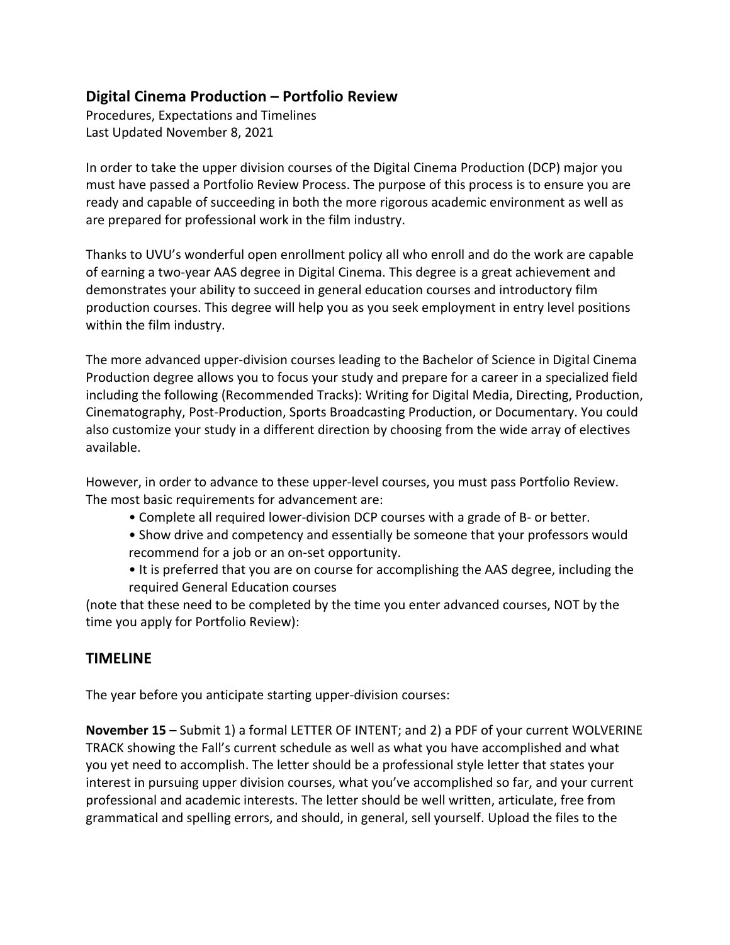## **Digital Cinema Production – Portfolio Review**

 Procedures, Expectations and Timelines Last Updated November 8, 2021

 In order to take the upper division courses of the Digital Cinema Production (DCP) major you must have passed a Portfolio Review Process. The purpose of this process is to ensure you are ready and capable of succeeding in both the more rigorous academic environment as well as are prepared for professional work in the film industry.

 Thanks to UVU's wonderful open enrollment policy all who enroll and do the work are capable of earning a two-year AAS degree in Digital Cinema. This degree is a great achievement and demonstrates your ability to succeed in general education courses and introductory film production courses. This degree will help you as you seek employment in entry level positions within the film industry.

 The more advanced upper-division courses leading to the Bachelor of Science in Digital Cinema Production degree allows you to focus your study and prepare for a career in a specialized field including the following (Recommended Tracks): Writing for Digital Media, Directing, Production, Cinematography, Post-Production, Sports Broadcasting Production, or Documentary. You could also customize your study in a different direction by choosing from the wide array of electives available.

 However, in order to advance to these upper-level courses, you must pass Portfolio Review. The most basic requirements for advancement are:

- Complete all required lower-division DCP courses with a grade of B- or better.
- • Show drive and competency and essentially be someone that your professors would recommend for a job or an on-set opportunity.
- • It is preferred that you are on course for accomplishing the AAS degree, including the required General Education courses

 (note that these need to be completed by the time you enter advanced courses, NOT by the time you apply for Portfolio Review):

## **TIMELINE**

The year before you anticipate starting upper-division courses:

 **November 15** – Submit 1) a formal LETTER OF INTENT; and 2) a PDF of your current WOLVERINE TRACK showing the Fall's current schedule as well as what you have accomplished and what you yet need to accomplish. The letter should be a professional style letter that states your interest in pursuing upper division courses, what you've accomplished so far, and your current professional and academic interests. The letter should be well written, articulate, free from grammatical and spelling errors, and should, in general, sell yourself. Upload the files to the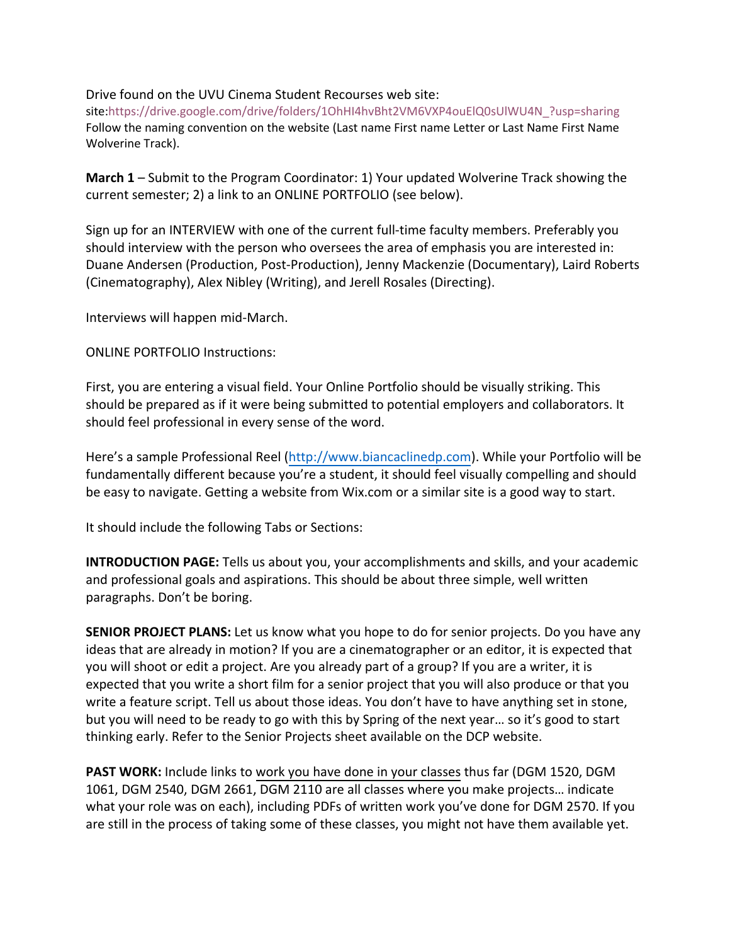Drive found on the UVU Cinema Student Recourses web site:

 Follow the naming convention on the website (Last name First name Letter or Last Name First Name Wolverine Track). site:https://drive.google.com/drive/folders/1OhHI4hvBht2VM6VXP4ouElQ0sUlWU4N\_?usp=sharing

 **March 1** – Submit to the Program Coordinator: 1) Your updated Wolverine Track showing the current semester; 2) a link to an ONLINE PORTFOLIO (see below).

 Sign up for an INTERVIEW with one of the current full-time faculty members. Preferably you should interview with the person who oversees the area of emphasis you are interested in: Duane Andersen (Production, Post-Production), Jenny Mackenzie (Documentary), Laird Roberts (Cinematography), Alex Nibley (Writing), and Jerell Rosales (Directing).

Interviews will happen mid-March.

## ONLINE PORTFOLIO Instructions:

 First, you are entering a visual field. Your Online Portfolio should be visually striking. This should be prepared as if it were being submitted to potential employers and collaborators. It should feel professional in every sense of the word.

 Here's a sample Professional Reel (http://www.biancaclinedp.com). While your Portfolio will be fundamentally different because you're a student, it should feel visually compelling and should be easy to navigate. Getting a website from Wix.com or a similar site is a good way to start.

It should include the following Tabs or Sections:

 **INTRODUCTION PAGE:** Tells us about you, your accomplishments and skills, and your academic and professional goals and aspirations. This should be about three simple, well written paragraphs. Don't be boring.

 **SENIOR PROJECT PLANS:** Let us know what you hope to do for senior projects. Do you have any ideas that are already in motion? If you are a cinematographer or an editor, it is expected that you will shoot or edit a project. Are you already part of a group? If you are a writer, it is expected that you write a short film for a senior project that you will also produce or that you write a feature script. Tell us about those ideas. You don't have to have anything set in stone, but you will need to be ready to go with this by Spring of the next year… so it's good to start thinking early. Refer to the Senior Projects sheet available on the DCP website.

 **PAST WORK:** Include links to work you have done in your classes thus far (DGM 1520, DGM 1061, DGM 2540, DGM 2661, DGM 2110 are all classes where you make projects… indicate what your role was on each), including PDFs of written work you've done for DGM 2570. If you are still in the process of taking some of these classes, you might not have them available yet.